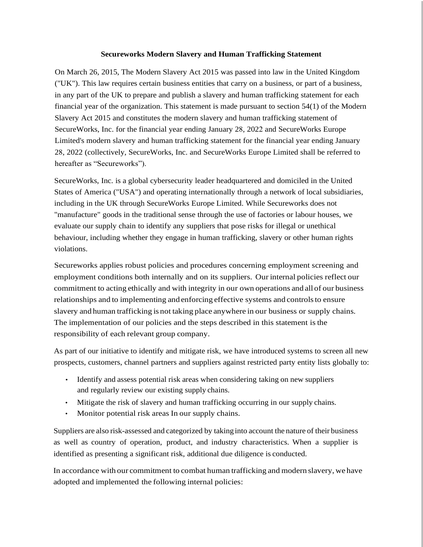## **Secureworks Modern Slavery and Human Trafficking Statement**

On March 26, 2015, The Modern Slavery Act 2015 was passed into law in the United Kingdom ("UK"). This law requires certain business entities that carry on a business, or part of a business, in any part of the UK to prepare and publish a slavery and human trafficking statement for each financial year of the organization. This statement is made pursuant to section 54(1) of the Modern Slavery Act 2015 and constitutes the modern slavery and human trafficking statement of SecureWorks, Inc. for the financial year ending January 28, 2022 and SecureWorks Europe Limited's modern slavery and human trafficking statement for the financial year ending January 28, 2022 (collectively, SecureWorks, Inc. and SecureWorks Europe Limited shall be referred to hereafter as "Secureworks").

SecureWorks, Inc. is a global cybersecurity leader headquartered and domiciled in the United States of America ("USA") and operating internationally through a network of local subsidiaries, including in the UK through SecureWorks Europe Limited. While Secureworks does not "manufacture" goods in the traditional sense through the use of factories or labour houses, we evaluate our supply chain to identify any suppliers that pose risks for illegal or unethical behaviour, including whether they engage in human trafficking, slavery or other human rights violations.

Secureworks applies robust policies and procedures concerning employment screening and employment conditions both internally and on its suppliers. Our internal policies reflect our commitment to acting ethically and with integrity in our own operations and all of our business relationships and to implementing and enforcing effective systems and controls to ensure slavery and human trafficking is not taking place anywhere in our business or supply chains. The implementation of our policies and the steps described in this statement is the responsibility of each relevant group company.

As part of our initiative to identify and mitigate risk, we have introduced systems to screen all new prospects, customers, channel partners and suppliers against restricted party entity lists globally to:

- Identify and assess potential risk areas when considering taking on new suppliers and regularly review our existing supply chains.
- Mitigate the risk of slavery and human trafficking occurring in our supply chains.
- Monitor potential risk areas In our supply chains.

Suppliers are also risk-assessed and categorized by taking into account the nature of their business as well as country of operation, product, and industry characteristics. When a supplier is identified as presenting a significant risk, additional due diligence is conducted.

In accordance with our commitment to combat human trafficking and modern slavery, we have adopted and implemented the following internal policies: